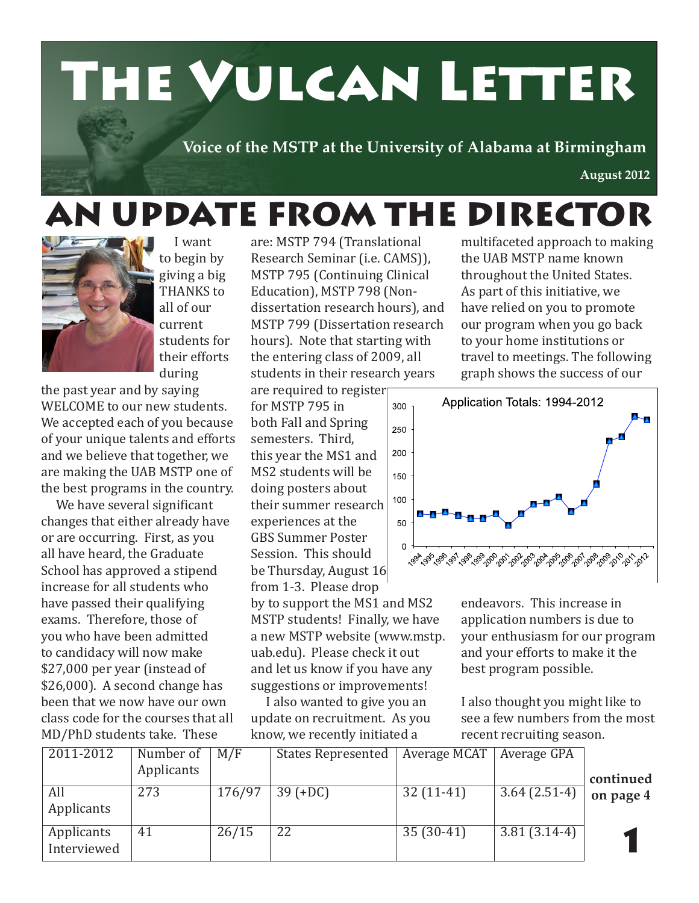# The Vulcan Letter

**Voice of the MSTP at the University of Alabama at Birmingham**

**August 2012**

### AN UPDATE FROM THE DIRECTOR



 I want to begin by giving a big THANKS to all of our current students for their efforts during

the past year and by saying WELCOME to our new students. We accepted each of you because of your unique talents and efforts and we believe that together, we are making the UAB MSTP one of the best programs in the country.

 We have several significant changes that either already have or are occurring. First, as you all have heard, the Graduate School has approved a stipend increase for all students who have passed their qualifying exams. Therefore, those of you who have been admitted to candidacy will now make \$27,000 per year (instead of \$26,000). A second change has been that we now have our own class code for the courses that all MD/PhD students take. These

are: MSTP 794 (Translational Research Seminar (i.e. CAMS)), MSTP 795 (Continuing Clinical Education), MSTP 798 (Nondissertation research hours), and MSTP 799 (Dissertation research hours). Note that starting with the entering class of 2009, all students in their research years are required to register

for MSTP 795 in both Fall and Spring semesters. Third, this year the MS1 and MS2 students will be doing posters about their summer research experiences at the GBS Summer Poster Session. This should be Thursday, August 16 from 1-3. Please drop

by to support the MS1 and MS2 MSTP students! Finally, we have a new MSTP website (www.mstp. uab.edu). Please check it out and let us know if you have any suggestions or improvements!

 I also wanted to give you an update on recruitment. As you know, we recently initiated a

multifaceted approach to making the UAB MSTP name known throughout the United States. As part of this initiative, we have relied on you to promote our program when you go back to your home institutions or travel to meetings. The following graph shows the success of our



endeavors. This increase in application numbers is due to your enthusiasm for our program and your efforts to make it the best program possible.

I also thought you might like to see a few numbers from the most recent recruiting season.

| 10001101001010117700000111 |            |            |                           |              |                |           |
|----------------------------|------------|------------|---------------------------|--------------|----------------|-----------|
| 2011-2012                  | Number of  | $\mid M/F$ | <b>States Represented</b> | Average MCAT | Average GPA    |           |
|                            | Applicants |            |                           |              |                | continued |
| All                        | 273        | 176/97     | $39 (+DC)$                | $32(11-41)$  | $3.64(2.51-4)$ |           |
| Applicants                 |            |            |                           |              |                | on page 4 |
| Applicants<br>Interviewed  | 41         | 26/15      | 22                        | $35(30-41)$  | $3.81(3.14-4)$ |           |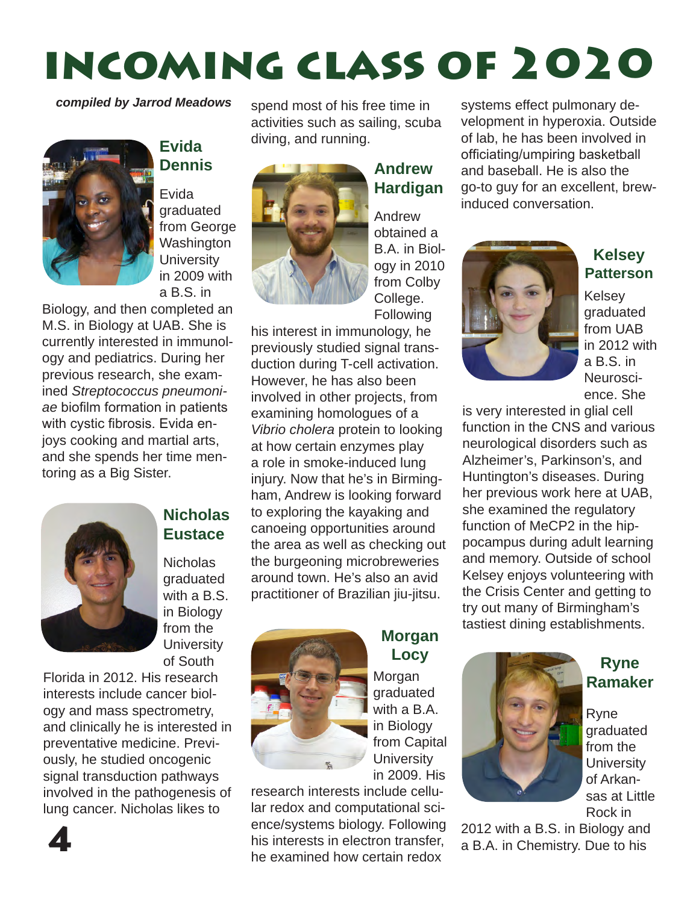## incoming class of 2020

*compiled by Jarrod Meadows*



### **Evida Dennis**

Evida graduated from George **Washington University** in 2009 with a B.S. in

Biology, and then completed an M.S. in Biology at UAB. She is currently interested in immunology and pediatrics. During her previous research, she examined *Streptococcus pneumoniae* biofilm formation in patients with cystic fibrosis. Evida enjoys cooking and martial arts, and she spends her time mentoring as a Big Sister.



### **Nicholas Eustace**

Nicholas graduated with a B.S. in Biology from the **University** of South

Florida in 2012. His research interests include cancer biology and mass spectrometry, and clinically he is interested in preventative medicine. Previously, he studied oncogenic signal transduction pathways involved in the pathogenesis of lung cancer. Nicholas likes to

4

spend most of his free time in activities such as sailing, scuba diving, and running.



### **Andrew Hardigan**

Andrew obtained a B.A. in Biology in 2010 from Colby College. **Following** 

his interest in immunology, he previously studied signal transduction during T-cell activation. However, he has also been involved in other projects, from examining homologues of a *Vibrio cholera* protein to looking at how certain enzymes play a role in smoke-induced lung injury. Now that he's in Birmingham, Andrew is looking forward to exploring the kayaking and canoeing opportunities around the area as well as checking out the burgeoning microbreweries around town. He's also an avid practitioner of Brazilian jiu-jitsu.



### **Morgan Locy**

Morgan graduated with a B.A. in Biology from Capital **University** in 2009. His

research interests include cellular redox and computational science/systems biology. Following his interests in electron transfer, he examined how certain redox

systems effect pulmonary development in hyperoxia. Outside of lab, he has been involved in officiating/umpiring basketball and baseball. He is also the go-to guy for an excellent, brewinduced conversation.



**Kelsey Patterson**

Kelsey graduated from UAB in 2012 with a B.S. in Neuroscience. She

is very interested in glial cell function in the CNS and various neurological disorders such as Alzheimer's, Parkinson's, and Huntington's diseases. During her previous work here at UAB, she examined the regulatory function of MeCP2 in the hippocampus during adult learning and memory. Outside of school Kelsey enjoys volunteering with the Crisis Center and getting to try out many of Birmingham's tastiest dining establishments.



#### **Ryne Ramaker**

Ryne graduated from the **University** of Arkansas at Little Rock in

2012 with a B.S. in Biology and a B.A. in Chemistry. Due to his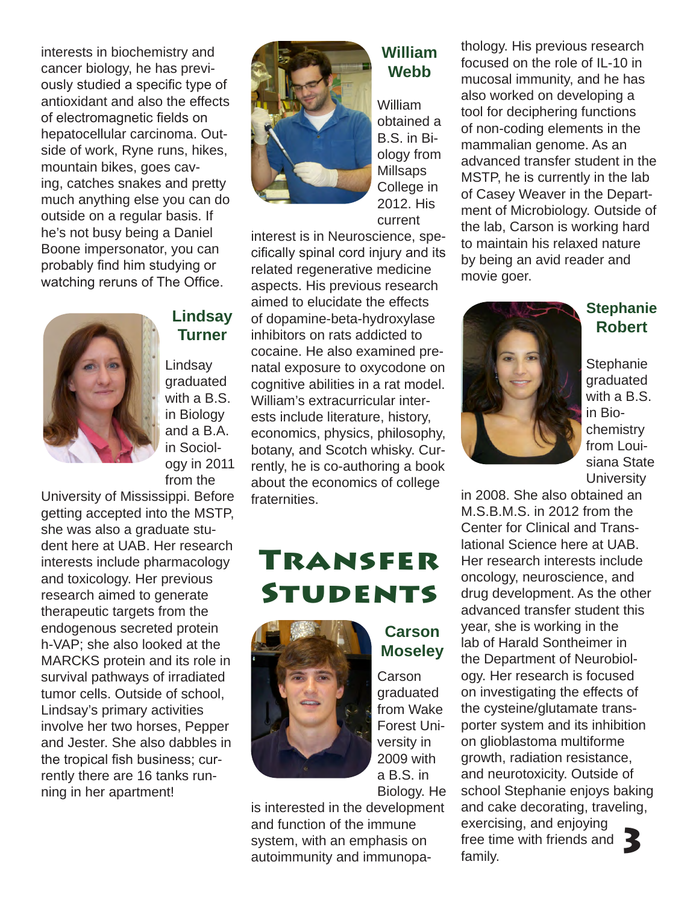interests in biochemistry and cancer biology, he has previously studied a specific type of antioxidant and also the effects of electromagnetic fields on hepatocellular carcinoma. Outside of work, Ryne runs, hikes, mountain bikes, goes caving, catches snakes and pretty much anything else you can do outside on a regular basis. If he's not busy being a Daniel Boone impersonator, you can probably find him studying or watching reruns of The Office.



### **Lindsay Turner**

Lindsay graduated with a B.S. in Biology and a B.A. in Sociology in 2011 from the

University of Mississippi. Before getting accepted into the MSTP, she was also a graduate student here at UAB. Her research interests include pharmacology and toxicology. Her previous research aimed to generate therapeutic targets from the endogenous secreted protein h-VAP; she also looked at the MARCKS protein and its role in survival pathways of irradiated tumor cells. Outside of school, Lindsay's primary activities involve her two horses, Pepper and Jester. She also dabbles in the tropical fish business; currently there are 16 tanks running in her apartment!



### **William Webb**

William obtained a B.S. in Biology from Millsaps College in 2012. His current

interest is in Neuroscience, specifically spinal cord injury and its related regenerative medicine aspects. His previous research aimed to elucidate the effects of dopamine-beta-hydroxylase inhibitors on rats addicted to cocaine. He also examined prenatal exposure to oxycodone on cognitive abilities in a rat model. William's extracurricular interests include literature, history, economics, physics, philosophy, botany, and Scotch whisky. Currently, he is co-authoring a book about the economics of college fraternities.

### Transfer **STUDENTS**



### **Carson Moseley** Carson graduated

from Wake Forest University in 2009 with a B.S. in Biology. He

is interested in the development and function of the immune system, with an emphasis on autoimmunity and immunopathology. His previous research focused on the role of IL-10 in mucosal immunity, and he has also worked on developing a tool for deciphering functions of non-coding elements in the mammalian genome. As an advanced transfer student in the MSTP, he is currently in the lab of Casey Weaver in the Department of Microbiology. Outside of the lab, Carson is working hard to maintain his relaxed nature by being an avid reader and movie goer.



### **Stephanie Robert**

**Stephanie** graduated with a B.S. in Biochemistry from Louisiana State **University** 

in 2008. She also obtained an M.S.B.M.S. in 2012 from the Center for Clinical and Translational Science here at UAB. Her research interests include oncology, neuroscience, and drug development. As the other advanced transfer student this year, she is working in the lab of Harald Sontheimer in the Department of Neurobiology. Her research is focused on investigating the effects of the cysteine/glutamate transporter system and its inhibition on glioblastoma multiforme growth, radiation resistance, and neurotoxicity. Outside of school Stephanie enjoys baking and cake decorating, traveling, exercising, and enjoying oncreasing, and enjoying<br>free time with friends and **3**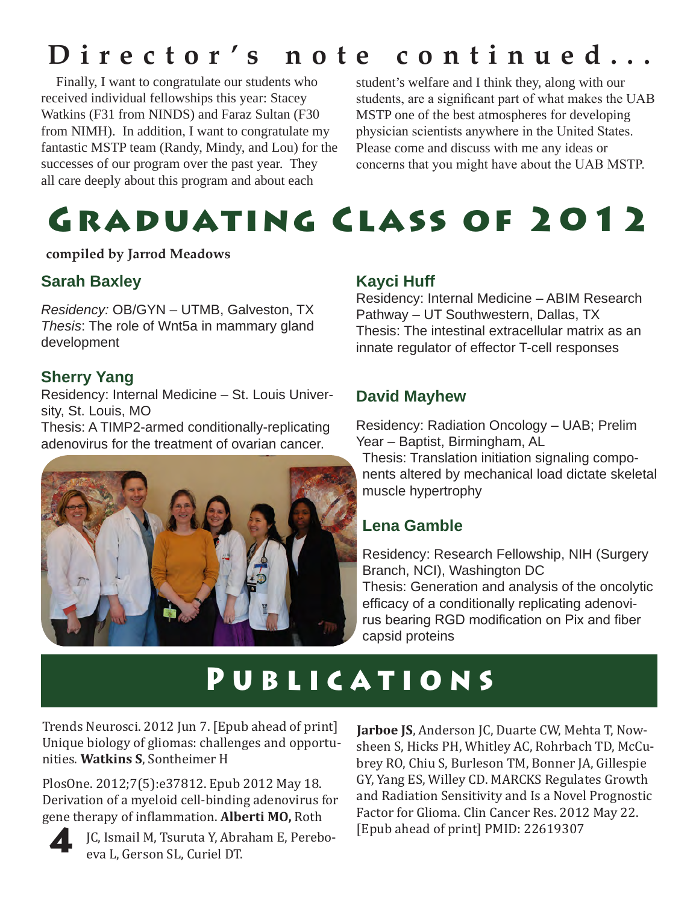### **Director's note continued...**

 Finally, I want to congratulate our students who received individual fellowships this year: Stacey Watkins (F31 from NINDS) and Faraz Sultan (F30 from NIMH). In addition, I want to congratulate my fantastic MSTP team (Randy, Mindy, and Lou) for the successes of our program over the past year. They all care deeply about this program and about each

student's welfare and I think they, along with our students, are a significant part of what makes the UAB MSTP one of the best atmospheres for developing physician scientists anywhere in the United States. Please come and discuss with me any ideas or concerns that you might have about the UAB MSTP.

### Graduating Class of 2012

#### **compiled by Jarrod Meadows**

### **Sarah Baxley**

*Residency:* OB/GYN – UTMB, Galveston, TX *Thesis*: The role of Wnt5a in mammary gland development

### **Sherry Yang**

Residency: Internal Medicine – St. Louis University, St. Louis, MO

Thesis: A TIMP2-armed conditionally-replicating adenovirus for the treatment of ovarian cancer.



### **Kayci Huff**

Residency: Internal Medicine – ABIM Research Pathway – UT Southwestern, Dallas, TX Thesis: The intestinal extracellular matrix as an innate regulator of effector T-cell responses

### **David Mayhew**

Residency: Radiation Oncology – UAB; Prelim Year – Baptist, Birmingham, AL

Thesis: Translation initiation signaling components altered by mechanical load dictate skeletal muscle hypertrophy

### **Lena Gamble**

Residency: Research Fellowship, NIH (Surgery Branch, NCI), Washington DC Thesis: Generation and analysis of the oncolytic efficacy of a conditionally replicating adenovirus bearing RGD modification on Pix and fiber capsid proteins

### Publications

Trends Neurosci. 2012 Jun 7. [Epub ahead of print] Unique biology of gliomas: challenges and opportunities. **Watkins S**, Sontheimer H

PlosOne. 2012;7(5):e37812. Epub 2012 May 18. Derivation of a myeloid cell-binding adenovirus for gene therapy of inflammation. **Alberti MO,** Roth



JC, Ismail M, Tsuruta Y, Abraham E, Pereboeva L, Gerson SL, Curiel DT.

**Jarboe JS**, Anderson JC, Duarte CW, Mehta T, Nowsheen S, Hicks PH, Whitley AC, Rohrbach TD, McCubrey RO, Chiu S, Burleson TM, Bonner JA, Gillespie GY, Yang ES, Willey CD. MARCKS Regulates Growth and Radiation Sensitivity and Is a Novel Prognostic Factor for Glioma. Clin Cancer Res. 2012 May 22. [Epub ahead of print] PMID: 22619307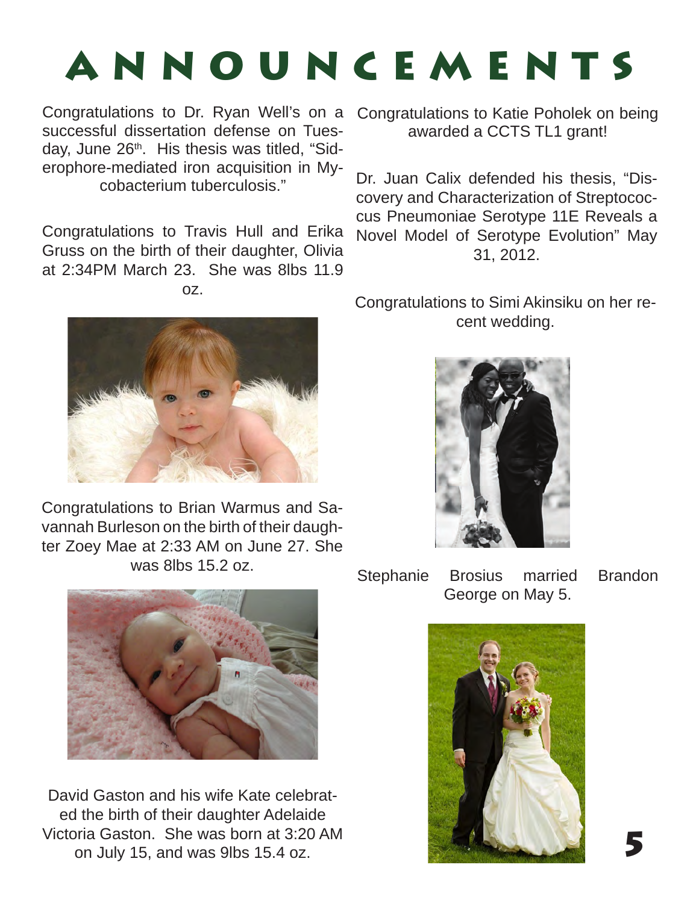# ANNOUNCEMENTS

Congratulations to Dr. Ryan Well's on a successful dissertation defense on Tuesday, June 26<sup>th</sup>. His thesis was titled, "Siderophore-mediated iron acquisition in Mycobacterium tuberculosis."

Congratulations to Travis Hull and Erika Gruss on the birth of their daughter, Olivia at 2:34PM March 23. She was 8lbs 11.9 oz.



Congratulations to Brian Warmus and Savannah Burleson on the birth of their daughter Zoey Mae at 2:33 AM on June 27. She was 8lbs 15.2 oz.



David Gaston and his wife Kate celebrated the birth of their daughter Adelaide Victoria Gaston. She was born at 3:20 AM on July 15, and was 9lbs 15.4 oz.

Congratulations to Katie Poholek on being awarded a CCTS TL1 grant!

Dr. Juan Calix defended his thesis, "Discovery and Characterization of Streptococcus Pneumoniae Serotype 11E Reveals a Novel Model of Serotype Evolution" May 31, 2012.

Congratulations to Simi Akinsiku on her recent wedding.



Stephanie Brosius married Brandon George on May 5.

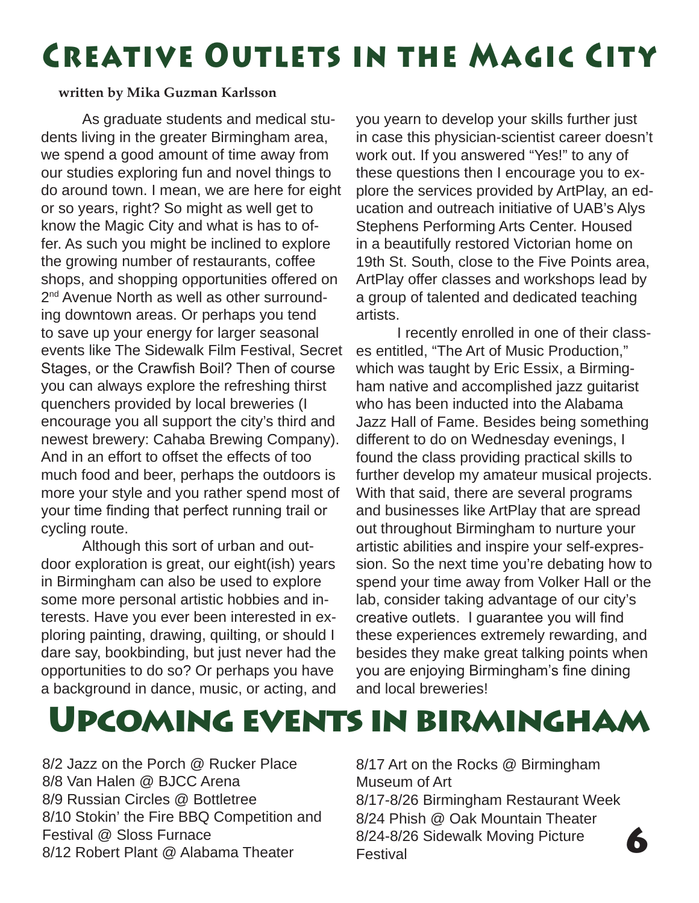### Creative Outlets in the Magic City

#### **written by Mika Guzman Karlsson**

As graduate students and medical students living in the greater Birmingham area, we spend a good amount of time away from our studies exploring fun and novel things to do around town. I mean, we are here for eight or so years, right? So might as well get to know the Magic City and what is has to offer. As such you might be inclined to explore the growing number of restaurants, coffee shops, and shopping opportunities offered on 2<sup>nd</sup> Avenue North as well as other surrounding downtown areas. Or perhaps you tend to save up your energy for larger seasonal events like The Sidewalk Film Festival, Secret Stages, or the Crawfish Boil? Then of course you can always explore the refreshing thirst quenchers provided by local breweries (I encourage you all support the city's third and newest brewery: Cahaba Brewing Company). And in an effort to offset the effects of too much food and beer, perhaps the outdoors is more your style and you rather spend most of your time finding that perfect running trail or cycling route.

Although this sort of urban and outdoor exploration is great, our eight(ish) years in Birmingham can also be used to explore some more personal artistic hobbies and interests. Have you ever been interested in exploring painting, drawing, quilting, or should I dare say, bookbinding, but just never had the opportunities to do so? Or perhaps you have a background in dance, music, or acting, and

you yearn to develop your skills further just in case this physician-scientist career doesn't work out. If you answered "Yes!" to any of these questions then I encourage you to explore the services provided by ArtPlay, an education and outreach initiative of UAB's Alys Stephens Performing Arts Center. Housed in a beautifully restored Victorian home on 19th St. South, close to the Five Points area, ArtPlay offer classes and workshops lead by a group of talented and dedicated teaching artists.

I recently enrolled in one of their classes entitled, "The Art of Music Production," which was taught by Eric Essix, a Birmingham native and accomplished jazz guitarist who has been inducted into the Alabama Jazz Hall of Fame. Besides being something different to do on Wednesday evenings, I found the class providing practical skills to further develop my amateur musical projects. With that said, there are several programs and businesses like ArtPlay that are spread out throughout Birmingham to nurture your artistic abilities and inspire your self-expression. So the next time you're debating how to spend your time away from Volker Hall or the lab, consider taking advantage of our city's creative outlets. I guarantee you will find these experiences extremely rewarding, and besides they make great talking points when you are enjoying Birmingham's fine dining and local breweries!

Upcoming events in birmingham

8/2 Jazz on the Porch @ Rucker Place 8/8 Van Halen @ BJCC Arena 8/9 Russian Circles @ Bottletree 8/10 Stokin' the Fire BBQ Competition and Festival @ Sloss Furnace 8/12 Robert Plant @ Alabama Theater

8/17 Art on the Rocks @ Birmingham Museum of Art 8/17-8/26 Birmingham Restaurant Week 8/24 Phish @ Oak Mountain Theater 8/24-8/26 Sidewalk Moving Picture Festival